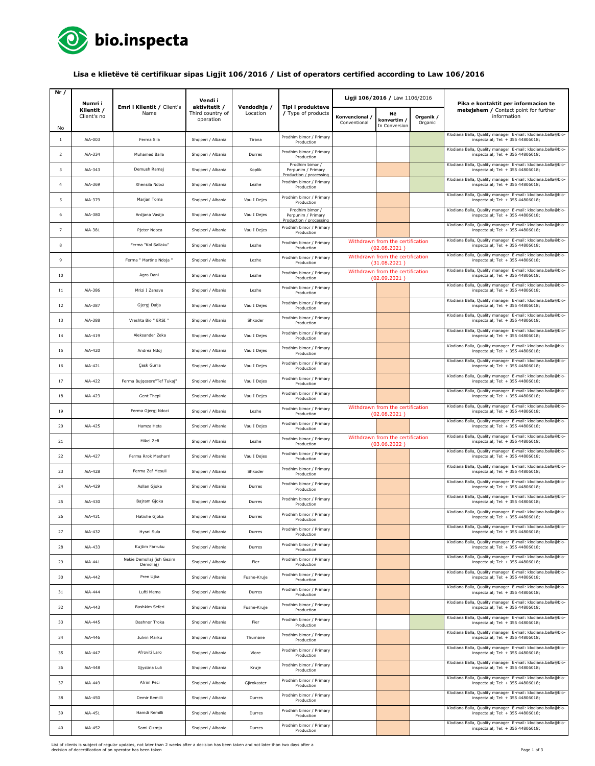

## **Lisa e klietëve të certifikuar sipas Ligjit 106/2016 / List of operators certified according to Law 106/2016**

| Nr /           | Numri i                   | Emri i Klientit / Client's             | Vendi i<br>aktivitetit /      |                         | Tipi i produkteve                                                | Ligji 106/2016 / Law 1106/2016 |                                                  |                      | Pika e kontaktit per informacion te                                                                   |
|----------------|---------------------------|----------------------------------------|-------------------------------|-------------------------|------------------------------------------------------------------|--------------------------------|--------------------------------------------------|----------------------|-------------------------------------------------------------------------------------------------------|
| No             | Klientit /<br>Client's no | Name                                   | Third country of<br>operation | Vendodhja /<br>Location | / Type of products                                               | Konvencional /<br>Conventional | Νë<br>konvertim,<br>In Conversion                | Organik /<br>Organic | metejshem / Contact point for further<br>information                                                  |
| $\mathbf{1}$   | AiA-003                   | Ferma Sila                             | Shqiperi / Albania            | Tirana                  | Prodhim bimor / Primary<br>Production                            |                                |                                                  |                      | Klodiana Balla, Quality manager E-mail: klodiana.balla@bio-<br>inspecta.al; Tel: + 355 44806018;      |
| 2              | AiA-334                   | Muhamed Balla                          | Shqiperi / Albania            | Durres                  | Prodhim bimor / Primary<br>Production                            |                                |                                                  |                      | Klodiana Balla, Quality manager E-mail: klodiana.balla@bio-<br>inspecta.al; Tel: + 355 44806018;      |
| 3              | AiA-343                   | Demush Ramaj                           | Shqiperi / Albania            | Koplik                  | Prodhim bimor /<br>Perpunim / Primary                            |                                |                                                  |                      | Klodiana Balla, Quality manager E-mail: klodiana.balla@bio-<br>inspecta.al; Tel: + 355 44806018;      |
| $\overline{a}$ | AiA-369                   | Xhensila Ndoci                         | Shqiperi / Albania            | Lezhe                   | Production / processing<br>Prodhim bimor / Primary<br>Production |                                |                                                  |                      | Klodiana Balla, Quality manager E-mail: klodiana.balla@bio-<br>inspecta.al; Tel: + 355 44806018;      |
| 5              | AiA-379                   | Marjan Toma                            | Shqiperi / Albania            | Vau I Dejes             | Prodhim bimor / Primary<br>Production                            |                                |                                                  |                      | Klodiana Balla, Quality manager E-mail: klodiana.balla@bio-<br>inspecta.al; Tel: + 355 44806018;      |
| 6              | AiA-380                   | Ardjana Vasija                         | Shqiperi / Albania            | Vau I Dejes             | Prodhim bimor /<br>Perpunim / Primary                            |                                |                                                  |                      | Klodiana Balla, Quality manager E-mail: klodiana.balla@bio-<br>inspecta.al; Tel: + 355 44806018;      |
| $\overline{7}$ | AiA-381                   | Pjeter Ndoca                           | Shqiperi / Albania            | Vau I Dejes             | Production / processin<br>Prodhim bimor / Primary<br>Production  |                                |                                                  |                      | Klodiana Balla, Quality manager E-mail: klodiana.balla@bio-<br>inspecta.al; Tel: + 355 44806018;      |
| 8              |                           | Ferma "Kol Sallaku"                    | Shqiperi / Albania            | Lezhe                   | Prodhim bimor / Primary<br>Production                            |                                | Withdrawn from the certification<br>(02.08.2021) |                      | Klodiana Balla, Quality manager E-mail: klodiana.balla@bio-<br>inspecta.al; Tel: + 355 44806018;      |
| 9              |                           | Ferma " Martine Ndoja "                | Shqiperi / Albania            | Lezhe                   | Prodhim bimor / Primary<br>Production                            |                                | Withdrawn from the certification<br>(31.08.2021) |                      | Klodiana Balla, Quality manager E-mail: klodiana.balla@bio-<br>inspecta.al; Tel: + 355 44806018;      |
| 10             |                           | Agro Dani                              | Shqiperi / Albania            | Lezhe                   | Prodhim bimor / Primary<br>Production                            |                                | Withdrawn from the certification<br>(02.09.2021) |                      | Klodiana Balla, Quality manager E-mail: klodiana.balla@bio-<br>inspecta.al; Tel: + 355 44806018;      |
| 11             | AiA-386                   | Mrizi I Zanave                         | Shqiperi / Albania            | Lezhe                   | Prodhim bimor / Primary<br>Production                            |                                |                                                  |                      | Klodiana Balla, Quality manager E-mail: klodiana.balla@bio-<br>inspecta.al; Tel: + 355 44806018;      |
| 12             | AiA-387                   | Gjergj Daija                           | Shqiperi / Albania            | Vau I Dejes             | Prodhim bimor / Primary<br>Production                            |                                |                                                  |                      | Klodiana Balla, Quality manager E-mail: klodiana.balla@bio-<br>inspecta.al; Tel: + 355 44806018;      |
| 13             | AiA-388                   | Vreshta Bio " ERSI "                   | Shqiperi / Albania            | Shkoder                 | Prodhim bimor / Primary<br>Production                            |                                |                                                  |                      | Klodiana Balla, Quality manager E-mail: klodiana.balla@bio-<br>inspecta.al; Tel: + 355 44806018;      |
| 14             | AiA-419                   | Aleksander Zeka                        | Shqiperi / Albania            | Vau I Dejes             | Prodhim bimor / Primary<br>Production                            |                                |                                                  |                      | Klodiana Balla, Quality manager E-mail: klodiana.balla@bio-<br>inspecta.al; Tel: + 355 44806018;      |
| 15             | AiA-420                   | Andrea Ndoj                            | Shqiperi / Albania            | Vau I Dejes             | Prodhim bimor / Primary<br>Production                            |                                |                                                  |                      | Klodiana Balla, Quality manager E-mail: klodiana.balla@bio-<br>inspecta.al; Tel: + 355 44806018;      |
| 16             | AiA-421                   | Çesk Gurra                             | Shqiperi / Albania            | Vau I Dejes             | Prodhim bimor / Primary<br>Production                            |                                |                                                  |                      | Klodiana Balla, Quality manager E-mail: klodiana.balla@bio-<br>inspecta.al; Tel: + 355 44806018;      |
| 17             | AiA-422                   | Ferma Bujqesore"Tef Tukaj"             | Shqiperi / Albania            | Vau I Dejes             | Prodhim bimor / Primary<br>Production                            |                                |                                                  |                      | Klodiana Balla, Quality manager E-mail: klodiana.balla@bio-<br>inspecta.al; Tel: + 355 44806018;      |
| 18             | AiA-423                   | Gent Thepi                             | Shqiperi / Albania            | Vau I Dejes             | Prodhim bimor / Primary<br>Production                            |                                |                                                  |                      | Klodiana Balla, Quality manager E-mail: klodiana.balla@bio-<br>inspecta.al; Tel: + 355 44806018;      |
| 19             |                           | Ferma Gjergj Ndoci                     | Shqiperi / Albania            | Lezhe                   | Prodhim bimor / Primary<br>Production                            |                                | Withdrawn from the certification<br>(02.08.2021) |                      | Klodiana Balla, Quality manager E-mail: klodiana.balla@bio-<br>inspecta.al; Tel: + 355 44806018;      |
| 20             | AiA-425                   | Hamza Heta                             | Shqiperi / Albania            | Vau I Dejes             | Prodhim bimor / Primary<br>Production                            |                                |                                                  |                      | Klodiana Balla, Quality manager E-mail: klodiana.balla@bio-<br>inspecta.al; Tel: + 355 44806018;      |
| 21             |                           | Mikel Zefi                             | Shqiperi / Albania            | Lezhe                   | Prodhim bimor / Primary<br>Production                            |                                | Withdrawn from the certification<br>(03.06.2022) |                      | Klodiana Balla, Quality manager E-mail: klodiana.balla@bio-<br>inspecta.al; Tel: + 355 44806018;      |
| 22             | AiA-427                   | Ferma Rrok Maxharri                    | Shqiperi / Albania            | Vau I Dejes             | Prodhim bimor / Primary<br>Production                            |                                |                                                  |                      | Klodiana Balla, Quality manager E-mail: klodiana.balla@bio-<br>inspecta.al; Tel: + 355 44806018;      |
| 23             | AiA-428                   | Ferma Zef Mesuli                       | Shqiperi / Albania            | Shkoder                 | Prodhim bimor / Primary<br>Production                            |                                |                                                  |                      | Klodiana Balla, Quality manager E-mail: klodiana.balla@bio-<br>inspecta.al; Tel: + 355 44806018;      |
| 24             | AiA-429                   | Asllan Gjoka                           | Shqiperi / Albania            | Durres                  | Prodhim bimor / Primary<br>Production                            |                                |                                                  |                      | Klodiana Balla, Quality manager E-mail: klodiana.balla@bio-<br>inspecta.al; Tel: + 355 44806018;      |
| 25             | AiA-430                   | Bajram Gjoka                           | Shqiperi / Albania            | Durres                  | Prodhim bimor / Primary<br>Production                            |                                |                                                  |                      | Klodiana Balla, Quality manager E-mail: klodiana.balla@bio-<br>inspecta.al; Tel: + 355 44806018;      |
| 26             | AiA-431                   | Hatixhe Gjoka                          | Shqiperi / Albania            | Durres                  | Prodhim bimor / Primary<br>Production                            |                                |                                                  |                      | Klodiana Balla, Quality manager E-mail: klodiana.balla@bio-<br>$inspecta.a$ ; $1el: + 355 44806018$ ; |
| 27             | AiA-432                   | Hysni Sula                             | Shqiperi / Albania            | Durres                  | Prodhim bimor / Primary<br>Production                            |                                |                                                  |                      | Klodiana Balla, Quality manager E-mail: klodiana.balla@bio-<br>inspecta.al; Tel: + 355 44806018;      |
| 28             | AiA-433                   | Kujtim Farruku                         | Shqiperi / Albania            | Durres                  | Prodhim bimor / Primary<br>Production                            |                                |                                                  |                      | Klodiana Balla, Quality manager E-mail: klodiana.balla@bio-<br>inspecta.al; Tel: + 355 44806018;      |
| 29             | AiA-441                   | Nekie Demollaj (ish Gezim<br>Demollaj) | Shqiperi / Albania            | Fier                    | Prodhim bimor / Primary<br>Production                            |                                |                                                  |                      | Klodiana Balla, Quality manager E-mail: klodiana.balla@bio-<br>inspecta.al; Tel: + 355 44806018;      |
| 30             | AiA-442                   | Pren Ujka                              | Shqiperi / Albania            | Fushe-Kruje             | Prodhim bimor / Primary<br>Production                            |                                |                                                  |                      | Klodiana Balla, Quality manager E-mail: klodiana.balla@bio-<br>inspecta.al; Tel: + 355 44806018;      |
| 31             | AiA-444                   | Lufti Mema                             | Shqiperi / Albania            | Durres                  | Prodhim bimor / Primary<br>Production                            |                                |                                                  |                      | Klodiana Balla, Quality manager E-mail: klodiana.balla@bio-<br>inspecta.al; Tel: + 355 44806018;      |
| 32             | AiA-443                   | Bashkim Seferi                         | Shqiperi / Albania            | Fushe-Kruje             | Prodhim bimor / Primary<br>Production                            |                                |                                                  |                      | Klodiana Balla, Quality manager E-mail: klodiana.balla@bio-<br>inspecta.al; Tel: + 355 44806018;      |
| 33             | AiA-445                   | Dashnor Troka                          | Shqiperi / Albania            | Fier                    | Prodhim bimor / Primary<br>Production                            |                                |                                                  |                      | Klodiana Balla, Quality manager E-mail: klodiana.balla@bio-<br>inspecta.al; Tel: + 355 44806018;      |
| 34             | AiA-446                   | Julvin Marku                           | Shqiperi / Albania            | Thumane                 | Prodhim bimor / Primary<br>Production                            |                                |                                                  |                      | Klodiana Balla, Quality manager E-mail: klodiana.balla@bio-<br>inspecta.al; Tel: + 355 44806018;      |
| 35             | AiA-447                   | Afroviti Laro                          | Shqiperi / Albania            | Vlore                   | Prodhim bimor / Primary<br>Production                            |                                |                                                  |                      | Klodiana Balla, Quality manager E-mail: klodiana.balla@bio-<br>inspecta.al; Tel: + 355 44806018;      |
| 36             | AiA-448                   | Gjystina Luli                          | Shqiperi / Albania            | Kruje                   | Prodhim bimor / Primary<br>Production                            |                                |                                                  |                      | Klodiana Balla, Quality manager E-mail: klodiana.balla@bio-<br>inspecta.al; Tel: + 355 44806018;      |
| 37             | AiA-449                   | Afrim Peci                             | Shqiperi / Albania            | Gjirokaster             | Prodhim bimor / Primary<br>Production                            |                                |                                                  |                      | Klodiana Balla, Quality manager E-mail: klodiana.balla@bio-<br>inspecta.al; Tel: + 355 44806018;      |
| 38             | AiA-450                   | Demir Remilli                          | Shqiperi / Albania            | Durres                  | Prodhim bimor / Primary<br>Production                            |                                |                                                  |                      | Klodiana Balla, Quality manager E-mail: klodiana.balla@bio-<br>inspecta.al; Tel: + 355 44806018;      |
| 39             | AiA-451                   | Hamdi Remilli                          | Shqiperi / Albania            | Durres                  | Prodhim bimor / Primary<br>Production                            |                                |                                                  |                      | Klodiana Balla, Quality manager E-mail: klodiana.balla@bio-<br>inspecta.al; Tel: + 355 44806018;      |
| 40             | AiA-452                   | Sami Cizmja                            | Shqiperi / Albania            | Durres                  | Prodhim bimor / Primary<br>Production                            |                                |                                                  |                      | Klodiana Balla, Quality manager E-mail: klodiana.balla@bio-<br>inspecta.al; Tel: + 355 44806018;      |

List of clients is subject of regular updates, not later than 2 weeks after a decision has been taken and not later than two days after a<br>decision of decertification of an operator has been taken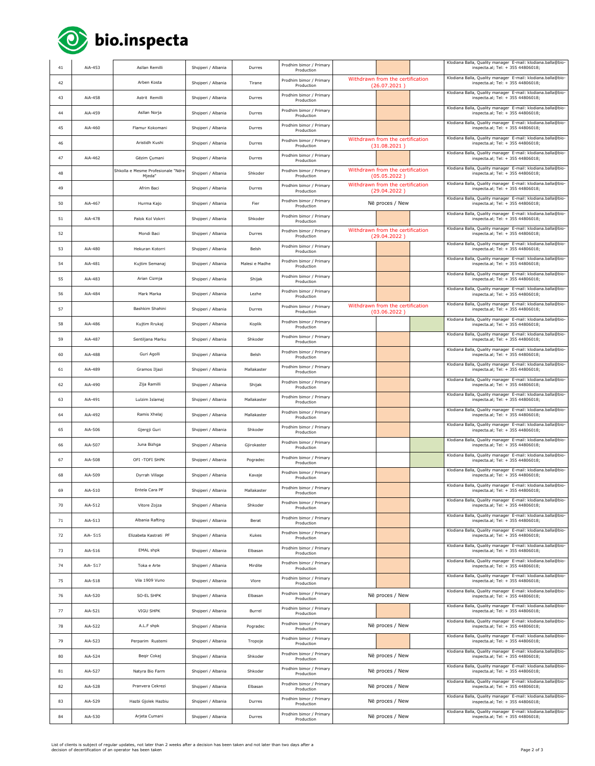

| 41 | AiA-453  | Asllan Remilli                               | Shqiperi / Albania | Durres         | Prodhim bimor / Primary<br>Production |                                                  |                                                  |  | Klodiana Balla, Quality manager E-mail: klodiana.balla@bio-<br>inspecta.al; Tel: + 355 44806018; |
|----|----------|----------------------------------------------|--------------------|----------------|---------------------------------------|--------------------------------------------------|--------------------------------------------------|--|--------------------------------------------------------------------------------------------------|
| 42 |          | Arben Kosta                                  | Shqiperi / Albania | Tirane         | Prodhim bimor / Primary<br>Production |                                                  | Withdrawn from the certification<br>(26.07.2021) |  | Klodiana Balla, Quality manager E-mail: klodiana.balla@bio-<br>inspecta.al; Tel: + 355 44806018; |
| 43 | AiA-458  | Astrit Remilli                               | Shqiperi / Albania | Durres         | Prodhim bimor / Primary<br>Production |                                                  |                                                  |  | Klodiana Balla, Quality manager E-mail: klodiana.balla@bio-<br>inspecta.al; Tel: + 355 44806018; |
| 44 | AiA-459  | Asllan Norja                                 | Shqiperi / Albania | Durres         | Prodhim bimor / Primary<br>Production |                                                  |                                                  |  | Klodiana Balla, Quality manager E-mail: klodiana.balla@bio-<br>inspecta.al; Tel: + 355 44806018; |
| 45 | AiA-460  | Flamur Kokomani                              | Shqiperi / Albania | Durres         | Prodhim bimor / Primary<br>Production |                                                  |                                                  |  | Klodiana Balla, Quality manager E-mail: klodiana.balla@bio-<br>inspecta.al; Tel: + 355 44806018; |
| 46 |          | Aristidh Kushi                               | Shqiperi / Albania | Durres         | Prodhim bimor / Primary<br>Production |                                                  | Withdrawn from the certification<br>(31.08.2021) |  | Klodiana Balla, Quality manager E-mail: klodiana.balla@bio-<br>inspecta.al; Tel: + 355 44806018; |
| 47 | AiA-462  | Gëzim Çumani                                 | Shqiperi / Albania | Durres         | Prodhim bimor / Primary<br>Production |                                                  |                                                  |  | Klodiana Balla, Quality manager E-mail: klodiana.balla@bio-<br>inspecta.al; Tel: + 355 44806018; |
| 48 |          | Shkolla e Mesme Profesionale "Ndre<br>Mjeda" | Shqiperi / Albania | Shkoder        | Prodhim bimor / Primary<br>Production |                                                  | Withdrawn from the certification<br>(05.05.2022) |  | Klodiana Balla, Quality manager E-mail: klodiana.balla@bio-<br>inspecta.al; Tel: + 355 44806018; |
| 49 |          | Afrim Baci                                   | Shqiperi / Albania | Durres         | Prodhim bimor / Primary<br>Production | Withdrawn from the certification<br>(29.04.2022) |                                                  |  | Klodiana Balla, Quality manager E-mail: klodiana.balla@bio-<br>inspecta.al; Tel: + 355 44806018; |
| 50 | AiA-467  | Hurma Kajo                                   | Shqiperi / Albania | Fier           | Prodhim bimor / Primary<br>Production | Në proces / New                                  |                                                  |  | Klodiana Balla, Quality manager E-mail: klodiana.balla@bio-<br>inspecta.al; Tel: + 355 44806018; |
| 51 | AiA-478  | Palok Kol Vokrri                             | Shqiperi / Albania | Shkoder        | Prodhim bimor / Primary<br>Production |                                                  |                                                  |  | Klodiana Balla, Quality manager E-mail: klodiana.balla@bio-<br>inspecta.al; Tel: + 355 44806018; |
| 52 |          | Mondi Baci                                   | Shqiperi / Albania | Durres         | Prodhim bimor / Primary<br>Production |                                                  | Withdrawn from the certification<br>(29.04.2022) |  | Klodiana Balla, Quality manager E-mail: klodiana.balla@bio-<br>inspecta.al; Tel: + 355 44806018; |
| 53 | AiA-480  | Hekuran Kotorri                              | Shqiperi / Albania | Belsh          | Prodhim bimor / Primary<br>Production |                                                  |                                                  |  | Klodiana Balla, Quality manager E-mail: klodiana.balla@bio-<br>inspecta.al; Tel: + 355 44806018; |
| 54 | AiA-481  | Kujtim Semanaj                               | Shqiperi / Albania | Malesi e Madhe | Prodhim bimor / Primary<br>Production |                                                  |                                                  |  | Klodiana Balla, Quality manager E-mail: klodiana.balla@bio-<br>inspecta.al; Tel: + 355 44806018; |
| 55 | AiA-483  | Arian Cizmja                                 | Shqiperi / Albania | Shijak         | Prodhim bimor / Primary<br>Production |                                                  |                                                  |  | Klodiana Balla, Quality manager E-mail: klodiana.balla@bio-<br>inspecta.al; Tel: + 355 44806018; |
| 56 | AiA-484  | Mark Marka                                   | Shqiperi / Albania | Lezhe          | Prodhim bimor / Primary<br>Production |                                                  |                                                  |  | Klodiana Balla, Quality manager E-mail: klodiana.balla@bio-<br>inspecta.al; Tel: + 355 44806018; |
| 57 |          | Bashkim Shahini                              | Shqiperi / Albania | Durres         | Prodhim bimor / Primary<br>Production |                                                  | Withdrawn from the certification<br>(03.06.2022) |  | Klodiana Balla, Quality manager E-mail: klodiana.balla@bio-<br>inspecta.al; Tel: + 355 44806018; |
| 58 | AiA-486  | Kujtim Rrukaj                                | Shqiperi / Albania | Koplik         | Prodhim bimor / Primary<br>Production |                                                  |                                                  |  | Klodiana Balla, Quality manager E-mail: klodiana.balla@bio-<br>inspecta.al; Tel: + 355 44806018; |
| 59 | AiA-487  | Sentiljana Marku                             | Shqiperi / Albania | Shkoder        | Prodhim bimor / Primary<br>Production |                                                  |                                                  |  | Klodiana Balla, Quality manager E-mail: klodiana.balla@bio-<br>inspecta.al; Tel: + 355 44806018; |
| 60 | AiA-488  | Guri Agolli                                  | Shqiperi / Albania | Belsh          | Prodhim bimor / Primary<br>Production |                                                  |                                                  |  | Klodiana Balla, Quality manager E-mail: klodiana.balla@bio-<br>inspecta.al; Tel: + 355 44806018; |
| 61 | AiA-489  | Gramos Iljazi                                | Shqiperi / Albania | Mallakaster    | Prodhim bimor / Primary<br>Production |                                                  |                                                  |  | Klodiana Balla, Quality manager E-mail: klodiana.balla@bio-<br>inspecta.al; Tel: + 355 44806018; |
| 62 | AiA-490  | Zija Ramilli                                 | Shqiperi / Albania | Shijak         | Prodhim bimor / Primary<br>Production |                                                  |                                                  |  | Klodiana Balla, Quality manager E-mail: klodiana.balla@bio-<br>inspecta.al; Tel: + 355 44806018; |
| 63 | AiA-491  | Lulzim Islamaj                               | Shqiperi / Albania | Mallakaster    | Prodhim bimor / Primary<br>Production |                                                  |                                                  |  | Klodiana Balla, Quality manager E-mail: klodiana.balla@bio-<br>inspecta.al; Tel: + 355 44806018; |
| 64 | AiA-492  | Ramis Xhelaj                                 | Shqiperi / Albania | Mallakaster    | Prodhim bimor / Primary<br>Production |                                                  |                                                  |  | Klodiana Balla, Quality manager E-mail: klodiana.balla@bio-<br>inspecta.al; Tel: + 355 44806018; |
| 65 | AiA-506  | Gjergji Guri                                 | Shqiperi / Albania | Shkoder        | Prodhim bimor / Primary<br>Production |                                                  |                                                  |  | Klodiana Balla, Quality manager E-mail: klodiana.balla@bio-<br>inspecta.al; Tel: + 355 44806018; |
| 66 | AiA-507  | Juna Bizhga                                  | Shqiperi / Albania | Gjirokaster    | Prodhim bimor / Primary<br>Production |                                                  |                                                  |  | Klodiana Balla, Quality manager E-mail: klodiana.balla@bio-<br>inspecta.al; Tel: + 355 44806018; |
| 67 | AiA-508  | OFI -TOFI SHPK                               | Shqiperi / Albania | Pogradec       | Prodhim bimor / Primary<br>Production |                                                  |                                                  |  | Klodiana Balla, Quality manager E-mail: klodiana.balla@bio-<br>inspecta.al; Tel: + 355 44806018; |
| 68 | AiA-509  | Dyrrah Village                               | Shqiperi / Albania | Kavaje         | Prodhim bimor / Primary<br>Production |                                                  |                                                  |  | Klodiana Balla, Quality manager E-mail: klodiana.balla@bio-<br>inspecta.al; Tel: + 355 44806018; |
| 69 | AiA-510  | Entela Cara PF                               | Shqiperi / Albania | Mallakaster    | Prodhim bimor / Primary<br>Production |                                                  |                                                  |  | Klodiana Balla, Quality manager E-mail: klodiana.balla@bio-<br>inspecta.al; Tel: + 355 44806018; |
| 70 | AiA-512  | Vitore Zojza                                 | Shqiperi / Albania | Shkoder        | Prodhim bimor / Primary<br>Production |                                                  |                                                  |  | Klodiana Balla, Quality manager E-mail: klodiana.balla@bio-<br>inspecta.al; Tel: + 355 44806018; |
| 71 | AiA-513  | Albania Rafting                              | Shqiperi / Albania | Berat          | Prodhim bimor / Primary<br>Production |                                                  |                                                  |  | Klodiana Balla, Quality manager E-mail: klodiana.balla@bio-<br>inspecta.al; Tel: + 355 44806018; |
| 72 | AiA- 515 | Elizabeta Kastrati PF                        | Shqiperi / Albania | Kukes          | Prodhim bimor / Primary<br>Production |                                                  |                                                  |  | Klodiana Balla, Quality manager E-mail: klodiana.balla@bio-<br>inspecta.al; Tel: + 355 44806018; |
| 73 | AiA-516  | EMAL shpk                                    | Shqiperi / Albania | Elbasan        | Prodhim bimor / Primary<br>Production |                                                  |                                                  |  | Klodiana Balla, Quality manager E-mail: klodiana.balla@bio-<br>inspecta.al; Tel: + 355 44806018; |
| 74 | AiA- 517 | Toka e Arte                                  | Shqiperi / Albania | Mirdite        | Prodhim bimor / Primary<br>Production |                                                  |                                                  |  | Klodiana Balla, Quality manager E-mail: klodiana.balla@bio-<br>inspecta.al; Tel: + 355 44806018; |
| 75 | AiA-518  | Vila 1909 Vuno                               | Shqiperi / Albania | Vlore          | Prodhim bimor / Primary<br>Production |                                                  |                                                  |  | Klodiana Balla, Quality manager E-mail: klodiana.balla@bio-<br>inspecta.al; Tel: + 355 44806018; |
| 76 | AiA-520  | SO-EL SHPK                                   | Shqiperi / Albania | Elbasan        | Prodhim bimor / Primary<br>Production |                                                  | Në proces / New                                  |  | Klodiana Balla, Quality manager E-mail: klodiana.balla@bio-<br>inspecta.al: Tel: + 355 44806018: |
| 77 | AiA-521  | VIGU SHPK                                    | Shqiperi / Albania | Burrel         | Prodhim bimor / Primary<br>Production |                                                  |                                                  |  | Klodiana Balla, Quality manager E-mail: klodiana.balla@bio-<br>inspecta.al; Tel: + 355 44806018; |
| 78 | AiA-522  | A.L.F shpk                                   | Shqiperi / Albania | Pogradec       | Prodhim bimor / Primary<br>Production |                                                  | Në proces / New                                  |  | Klodiana Balla, Quality manager E-mail: klodiana.balla@bio-<br>inspecta.al; Tel: + 355 44806018; |
| 79 | AiA-523  | Perparim Rustemi                             | Shqiperi / Albania | Tropoje        | Prodhim bimor / Primary<br>Production |                                                  |                                                  |  | Klodiana Balla, Quality manager E-mail: klodiana.balla@bio-<br>inspecta.al; Tel: + 355 44806018; |
| 80 | AiA-524  | Begir Cokaj                                  | Shqiperi / Albania | Shkoder        | Prodhim bimor / Primary<br>Production |                                                  | Në proces / New                                  |  | Klodiana Balla, Quality manager E-mail: klodiana.balla@bio-<br>inspecta.al; Tel: + 355 44806018; |
| 81 | AiA-527  | Natyra Bio Farm                              | Shqiperi / Albania | Shkoder        | Prodhim bimor / Primary<br>Production |                                                  | Në proces / New                                  |  | Klodiana Balla, Quality manager E-mail: klodiana.balla@bio-<br>inspecta.al; Tel: + 355 44806018; |
| 82 | AiA-528  | Pranvera Cekrezi                             | Shqiperi / Albania | Elbasan        | Prodhim bimor / Primary<br>Production | Në proces / New                                  |                                                  |  | Klodiana Balla, Quality manager E-mail: klodiana.balla@bio-<br>inspecta.al; Tel: + 355 44806018; |
| 83 | AiA-529  | Hazbi Gjolek Hazbiu                          | Shqiperi / Albania | Durres         | Prodhim bimor / Primary<br>Production | Në proces / New                                  |                                                  |  | Klodiana Balla, Quality manager E-mail: klodiana.balla@bio-<br>inspecta.al; Tel: + 355 44806018; |
| 84 | AiA-530  | Arjeta Cumani                                | Shqiperi / Albania | Durres         | Prodhim bimor / Primary<br>Production | Në proces / New                                  |                                                  |  | Klodiana Balla, Quality manager E-mail: klodiana.balla@bio-<br>inspecta.al; Tel: + 355 44806018; |

List of clients is subject of regular updates, not later than 2 weeks after a decision has been taken and not later than two days after a<br>decision of decertification of an operator has been taken